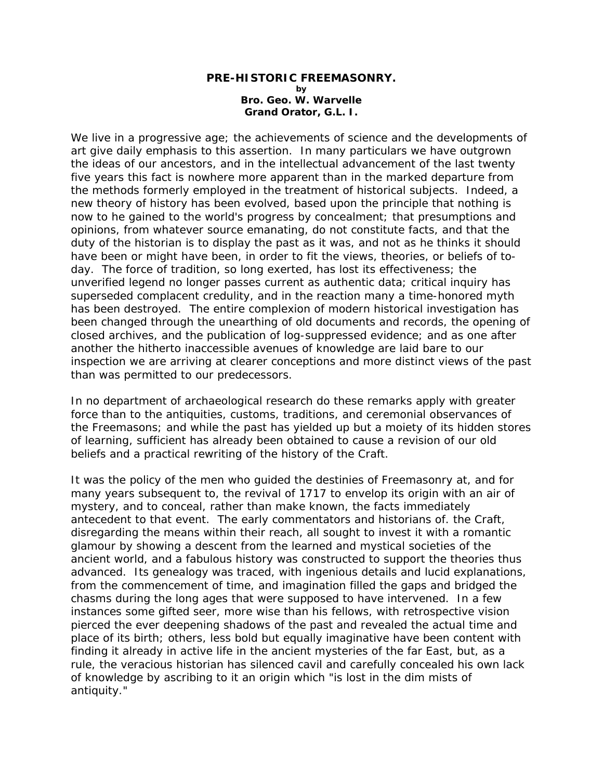## **PRE-HISTORIC FREEMASONRY. by Bro. Geo. W. Warvelle Grand Orator, G.L. I.**

We live in a progressive age; the achievements of science and the developments of art give daily emphasis to this assertion. In many particulars we have outgrown the ideas of our ancestors, and in the intellectual advancement of the last twenty five years this fact is nowhere more apparent than in the marked departure from the methods formerly employed in the treatment of historical subjects. Indeed, a new theory of history has been evolved, based upon the principle that nothing is now to he gained to the world's progress by concealment; that presumptions and opinions, from whatever source emanating, do not constitute facts, and that the duty of the historian is to display the past as it was, and not as he thinks it should have been or might have been, in order to fit the views, theories, or beliefs of today. The force of tradition, so long exerted, has lost its effectiveness; the unverified legend no longer passes current as authentic data; critical inquiry has superseded complacent credulity, and in the reaction many a time-honored myth has been destroyed. The entire complexion of modern historical investigation has been changed through the unearthing of old documents and records, the opening of closed archives, and the publication of log-suppressed evidence; and as one after another the hitherto inaccessible avenues of knowledge are laid bare to our inspection we are arriving at clearer conceptions and more distinct views of the past than was permitted to our predecessors.

In no department of archaeological research do these remarks apply with greater force than to the antiquities, customs, traditions, and ceremonial observances of the Freemasons; and while the past has yielded up but a moiety of its hidden stores of learning, sufficient has already been obtained to cause a revision of our old beliefs and a practical rewriting of the history of the Craft.

It was the policy of the men who guided the destinies of Freemasonry at, and for many years subsequent to, the revival of 1717 to envelop its origin with an air of mystery, and to conceal, rather than make known, the facts immediately antecedent to that event. The early commentators and historians of. the Craft, disregarding the means within their reach, all sought to invest it with a romantic glamour by showing a descent from the learned and mystical societies of the ancient world, and a fabulous history was constructed to support the theories thus advanced. Its genealogy was traced, with ingenious details and lucid explanations, from the commencement of time, and imagination filled the gaps and bridged the chasms during the long ages that were supposed to have intervened. In a few instances some gifted seer, more wise than his fellows, with retrospective vision pierced the ever deepening shadows of the past and revealed the actual time and place of its birth; others, less bold but equally imaginative have been content with finding it already in active life in the ancient mysteries of the far East, but, as a rule, the veracious historian has silenced cavil and carefully concealed his own lack of knowledge by ascribing to it an origin which "is lost in the dim mists of antiquity."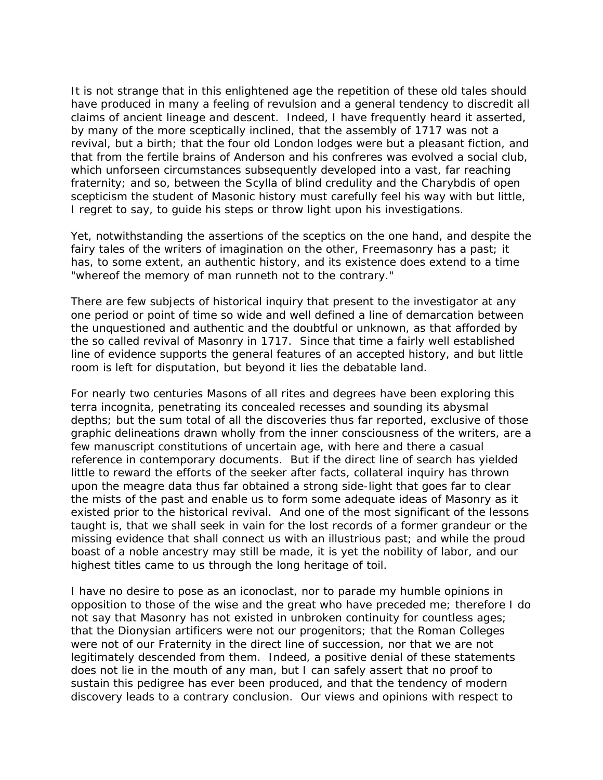It is not strange that in this enlightened age the repetition of these old tales should have produced in many a feeling of revulsion and a general tendency to discredit all claims of ancient lineage and descent. Indeed, I have frequently heard it asserted, by many of the more sceptically inclined, that the assembly of 1717 was not a revival, but a birth; that the four old London lodges were but a pleasant fiction, and that from the fertile brains of Anderson and his confreres was evolved a social club, which unforseen circumstances subsequently developed into a vast, far reaching fraternity; and so, between the Scylla of blind credulity and the Charybdis of open scepticism the student of Masonic history must carefully feel his way with but little, I regret to say, to guide his steps or throw light upon his investigations.

Yet, notwithstanding the assertions of the sceptics on the one hand, and despite the fairy tales of the writers of imagination on the other, Freemasonry has a past; it has, to some extent, an authentic history, and its existence does extend to a time "whereof the memory of man runneth not to the contrary."

There are few subjects of historical inquiry that present to the investigator at any one period or point of time so wide and well defined a line of demarcation between the unquestioned and authentic and the doubtful or unknown, as that afforded by the so called revival of Masonry in 1717. Since that time a fairly well established line of evidence supports the general features of an accepted history, and but little room is left for disputation, but beyond it lies the debatable land.

For nearly two centuries Masons of all rites and degrees have been exploring this terra incognita, penetrating its concealed recesses and sounding its abysmal depths; but the sum total of all the discoveries thus far reported, exclusive of those graphic delineations drawn wholly from the inner consciousness of the writers, are a few manuscript constitutions of uncertain age, with here and there a casual reference in contemporary documents. But if the direct line of search has yielded little to reward the efforts of the seeker after facts, collateral inquiry has thrown upon the meagre data thus far obtained a strong side-light that goes far to clear the mists of the past and enable us to form some adequate ideas of Masonry as it existed prior to the historical revival. And one of the most significant of the lessons taught is, that we shall seek in vain for the lost records of a former grandeur or the missing evidence that shall connect us with an illustrious past; and while the proud boast of a noble ancestry may still be made, it is yet the nobility of labor, and our highest titles came to us through the long heritage of toil.

I have no desire to pose as an iconoclast, nor to parade my humble opinions in opposition to those of the wise and the great who have preceded me; therefore I do not say that Masonry has not existed in unbroken continuity for countless ages; that the Dionysian artificers were not our progenitors; that the Roman Colleges were not of our Fraternity in the direct line of succession, nor that we are not legitimately descended from them. Indeed, a positive denial of these statements does not lie in the mouth of any man, but I can safely assert that no proof to sustain this pedigree has ever been produced, and that the tendency of modern discovery leads to a contrary conclusion. Our views and opinions with respect to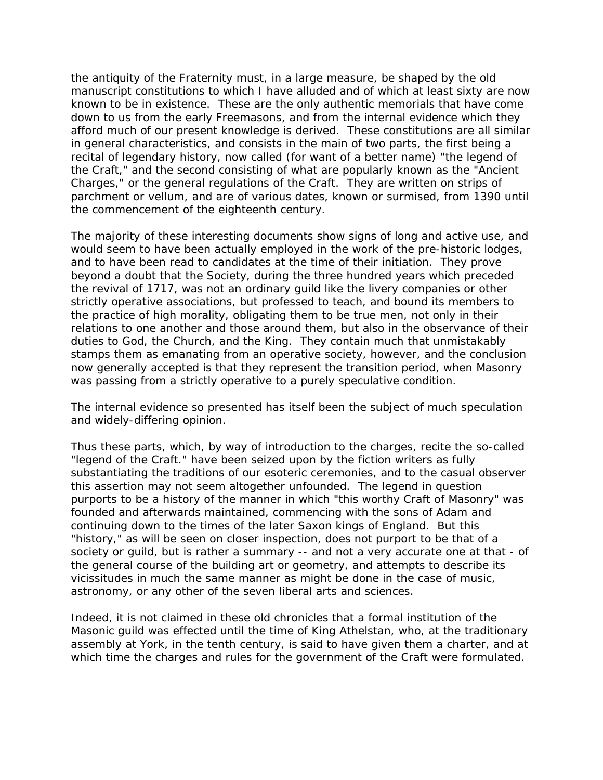the antiquity of the Fraternity must, in a large measure, be shaped by the old manuscript constitutions to which I have alluded and of which at least sixty are now known to be in existence. These are the only authentic memorials that have come down to us from the early Freemasons, and from the internal evidence which they afford much of our present knowledge is derived. These constitutions are all similar in general characteristics, and consists in the main of two parts, the first being a recital of legendary history, now called (for want of a better name) "the legend of the Craft," and the second consisting of what are popularly known as the "Ancient Charges," or the general regulations of the Craft. They are written on strips of parchment or vellum, and are of various dates, known or surmised, from 1390 until the commencement of the eighteenth century.

The majority of these interesting documents show signs of long and active use, and would seem to have been actually employed in the work of the pre-historic lodges, and to have been read to candidates at the time of their initiation. They prove beyond a doubt that the Society, during the three hundred years which preceded the revival of 1717, was not an ordinary guild like the livery companies or other strictly operative associations, but professed to teach, and bound its members to the practice of high morality, obligating them to be true men, not only in their relations to one another and those around them, but also in the observance of their duties to God, the Church, and the King. They contain much that unmistakably stamps them as emanating from an operative society, however, and the conclusion now generally accepted is that they represent the transition period, when Masonry was passing from a strictly operative to a purely speculative condition.

The internal evidence so presented has itself been the subject of much speculation and widely-differing opinion.

Thus these parts, which, by way of introduction to the charges, recite the so-called "legend of the Craft." have been seized upon by the fiction writers as fully substantiating the traditions of our esoteric ceremonies, and to the casual observer this assertion may not seem altogether unfounded. The legend in question purports to be a history of the manner in which "this worthy Craft of Masonry" was founded and afterwards maintained, commencing with the sons of Adam and continuing down to the times of the later Saxon kings of England. But this "history," as will be seen on closer inspection, does not purport to be that of a society or guild, but is rather a summary -- and not a very accurate one at that - of the general course of the building art or geometry, and attempts to describe its vicissitudes in much the same manner as might be done in the case of music, astronomy, or any other of the seven liberal arts and sciences.

Indeed, it is not claimed in these old chronicles that a formal institution of the Masonic guild was effected until the time of King Athelstan, who, at the traditionary assembly at York, in the tenth century, is said to have given them a charter, and at which time the charges and rules for the government of the Craft were formulated.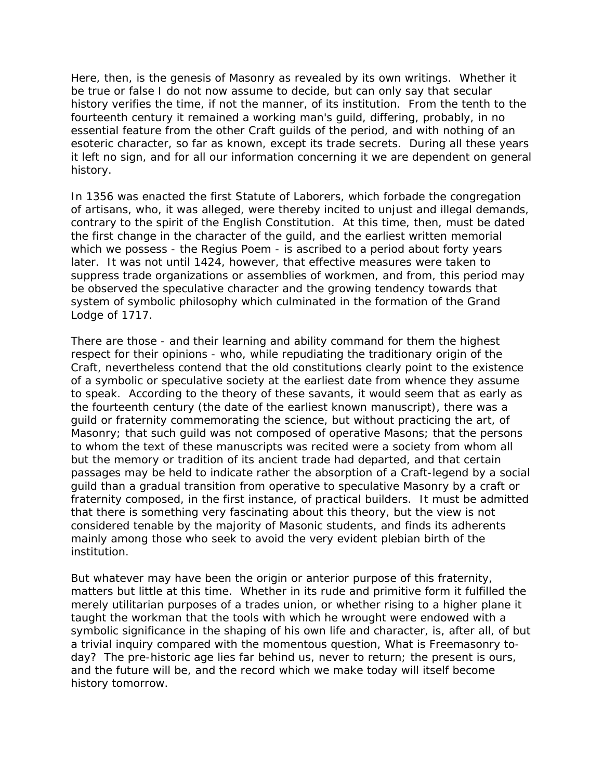Here, then, is the genesis of Masonry as revealed by its own writings. Whether it be true or false I do not now assume to decide, but can only say that secular history verifies the time, if not the manner, of its institution. From the tenth to the fourteenth century it remained a working man's guild, differing, probably, in no essential feature from the other Craft guilds of the period, and with nothing of an esoteric character, so far as known, except its trade secrets. During all these years it left no sign, and for all our information concerning it we are dependent on general history.

In 1356 was enacted the first Statute of Laborers, which forbade the congregation of artisans, who, it was alleged, were thereby incited to unjust and illegal demands, contrary to the spirit of the English Constitution. At this time, then, must be dated the first change in the character of the guild, and the earliest written memorial which we possess - the Regius Poem - is ascribed to a period about forty years later. It was not until 1424, however, that effective measures were taken to suppress trade organizations or assemblies of workmen, and from, this period may be observed the speculative character and the growing tendency towards that system of symbolic philosophy which culminated in the formation of the Grand Lodge of 1717.

There are those - and their learning and ability command for them the highest respect for their opinions - who, while repudiating the traditionary origin of the Craft, nevertheless contend that the old constitutions clearly point to the existence of a symbolic or speculative society at the earliest date from whence they assume to speak. According to the theory of these savants, it would seem that as early as the fourteenth century (the date of the earliest known manuscript), there was a guild or fraternity commemorating the science, but without practicing the art, of Masonry; that such guild was not composed of operative Masons; that the persons to whom the text of these manuscripts was recited were a society from whom all but the memory or tradition of its ancient trade had departed, and that certain passages may be held to indicate rather the absorption of a Craft-legend by a social guild than a gradual transition from operative to speculative Masonry by a craft or fraternity composed, in the first instance, of practical builders. It must be admitted that there is something very fascinating about this theory, but the view is not considered tenable by the majority of Masonic students, and finds its adherents mainly among those who seek to avoid the very evident plebian birth of the institution.

But whatever may have been the origin or anterior purpose of this fraternity, matters but little at this time. Whether in its rude and primitive form it fulfilled the merely utilitarian purposes of a trades union, or whether rising to a higher plane it taught the workman that the tools with which he wrought were endowed with a symbolic significance in the shaping of his own life and character, is, after all, of but a trivial inquiry compared with the momentous question, What is Freemasonry today? The pre-historic age lies far behind us, never to return; the present is ours, and the future will be, and the record which we make today will itself become history tomorrow.